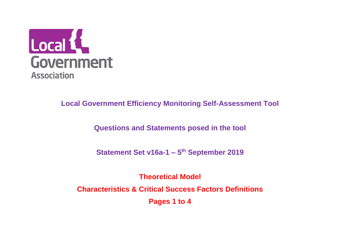

**Questions and Statements posed in the tool**

**Statement Set v16a-1 – 5 th September 2019**

**Theoretical Model Characteristics & Critical Success Factors Definitions Pages 1 to 4**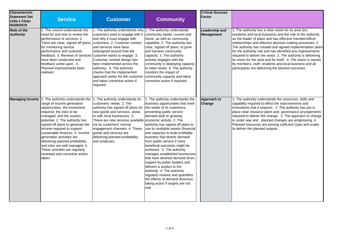| <b>Characteristic</b><br><b>Statement Set</b><br>v16a-1 Clean<br>05/09/2019 | <b>Service</b>                                                                                                                                                                                                                                                                                                                                                                                                                                                                                                     | <b>Customer</b>                                                                                                                                                                                                                                                                                                                                                                                       | <b>Community</b>                                                                                                                                                                                                                                                                                                                                                                                                                                                                                                                                                                                                                                                                               | <b>Critical Success</b><br><b>Factor</b> |                                                                                                                                                                                                                                                                                                                                                                                                                                                                                                                                                                                                                              |
|-----------------------------------------------------------------------------|--------------------------------------------------------------------------------------------------------------------------------------------------------------------------------------------------------------------------------------------------------------------------------------------------------------------------------------------------------------------------------------------------------------------------------------------------------------------------------------------------------------------|-------------------------------------------------------------------------------------------------------------------------------------------------------------------------------------------------------------------------------------------------------------------------------------------------------------------------------------------------------------------------------------------------------|------------------------------------------------------------------------------------------------------------------------------------------------------------------------------------------------------------------------------------------------------------------------------------------------------------------------------------------------------------------------------------------------------------------------------------------------------------------------------------------------------------------------------------------------------------------------------------------------------------------------------------------------------------------------------------------------|------------------------------------------|------------------------------------------------------------------------------------------------------------------------------------------------------------------------------------------------------------------------------------------------------------------------------------------------------------------------------------------------------------------------------------------------------------------------------------------------------------------------------------------------------------------------------------------------------------------------------------------------------------------------------|
| <b>Role of the</b><br><b>Authority</b>                                      | 1. The council understands the<br>need for and how to review the<br>performance of services. 2.<br>There are clear, signed off plans, customers. 2. Customer contact<br>for monitoring service<br>performance and customer<br>feedback. 3. Reviews of services customer wants to engage. 3.<br>have been conducted and<br>feedback acted upon. 4.<br>Planned improvements been<br>realised.                                                                                                                        | 1. The authority understands why 1. The authority understands<br>customers want to engage with it<br>and why it must engage with<br>and services have been<br>redesigned around how the<br>Customer centred design has<br>been implemented across the<br>authority. 4. The authority<br>checks that the implemented<br>approach works for the customer<br>and takes corrective action if<br>required. | community needs, current and<br>future, as well as community<br>capability. 2. The authority has<br>clear, signed off plans, to grow<br>and harness community<br>capacity. 3. The authority<br>actively engages with the<br>community in deploying capacity<br>to meet needs. 4. The authority<br>monitors the impact of<br>community capacity and takes<br>corrective action if required.                                                                                                                                                                                                                                                                                                     | Leadership and<br><b>Management</b>      | 1. The authority has a clear vision for its area (inc.<br>residents and local business) and the role of the authority<br>as the leader of place and has effective member/officer<br>relationships and effective decision making processes. 2.<br>The authority has created and agreed implementation plans<br>for the authority role and has identified any improvements<br>required to deliver the vision. 3. The authority is delivering<br>its vision for the area and for itself. 4. The vision is owned<br>by members, staff, residents and local business and all<br>participants are delivering the desired outcomes. |
| <b>Managing Income</b>                                                      | 1. The authority understands the 1. The authority understands its<br>range of income generation<br>opportunities, the investment<br>required, the risks to be<br>managed, and the surplus<br>potential. 2. The authority has<br>signed off plans to generate the<br>income required to support<br>sustainable finances. 3. Income<br>generation activities are<br>delivering planned profitability<br>and risks are well managed. 4.<br>These activities are regularly<br>reviewed and corrective action<br>taken. | customers' needs. 2. The<br>authority has signed off plans for<br>new goods and services, alone,<br>or with local businesses. 3.<br>These are new services available economic activity. 2. The<br>via its customers' normal<br>engagement channels. 4. These<br>goods and services are<br>delivering planned profitability<br>and surpluses.                                                          | 1. The authority understands the<br>business opportunities that meet<br>the needs of its customers,<br>preventing public service<br>demand and/ or growing<br>authority has signed off plans to<br>use its available assets (financial<br>and capacity) to build profitable<br>business that diverts demand<br>from public service if more<br>beneficial outcomes might be<br>achieved. 3. The authority<br>manages established businesses<br>that have diverted demand (from<br>support by public bodies) and<br>delivers a surplus to the<br>authority. 4. The authority<br>regularly reviews and quantifies<br>the effects of demand diversion,<br>taking action if targets are not<br>met. | Approach to<br>Change                    | 1. The authority understands the resources, skills and<br>capability required to effect the improvements and<br>innovations that it requires. 2. The authority has put in<br>place clear resource plans and governance arrangements<br>required to deliver the change. 3. The approach to change<br>is under way and planned changes are progressing. 4.<br>Planned resources are proving sufficient (type and scale)<br>to deliver the planned outputs.                                                                                                                                                                     |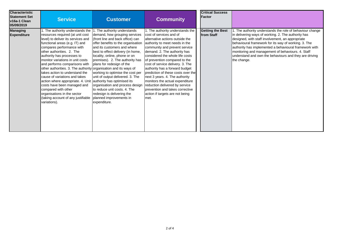| <b>Characteristic</b><br><b>Statement Set</b><br>v16a-1 Clean<br>05/09/2019 | <b>Service</b>                                                                                                                                                                                                                                                                                                                                                                                                                                                                                                                                                                                                                                                 | <b>Customer</b>                                                                                                                                                                                                                                                                                                                                                                                                                                                                                                                 | <b>Community</b>                                                                                                                                                                                                                                                                                                                                                                                                                                                                                                                                                       | <b>Critical Success</b><br>Factor     |                                                                                                                                                                                                                                                                                                                                                                                                                     |
|-----------------------------------------------------------------------------|----------------------------------------------------------------------------------------------------------------------------------------------------------------------------------------------------------------------------------------------------------------------------------------------------------------------------------------------------------------------------------------------------------------------------------------------------------------------------------------------------------------------------------------------------------------------------------------------------------------------------------------------------------------|---------------------------------------------------------------------------------------------------------------------------------------------------------------------------------------------------------------------------------------------------------------------------------------------------------------------------------------------------------------------------------------------------------------------------------------------------------------------------------------------------------------------------------|------------------------------------------------------------------------------------------------------------------------------------------------------------------------------------------------------------------------------------------------------------------------------------------------------------------------------------------------------------------------------------------------------------------------------------------------------------------------------------------------------------------------------------------------------------------------|---------------------------------------|---------------------------------------------------------------------------------------------------------------------------------------------------------------------------------------------------------------------------------------------------------------------------------------------------------------------------------------------------------------------------------------------------------------------|
| <b>Managing</b><br><b>Expenditure</b>                                       | . The authority understands the 1. The authority understands<br>resources required (at unit cost<br>level) to deliver its services and<br>functional areas (e.g. IT) and<br>compares performance with<br>lother authorities. 2. The<br>authority has processes to<br>monitor variations in unit costs<br>and performs comparisons with<br>other authorities. 3. The authority organisation and its ways of<br>Itakes action to understand the<br>cause of variations and takes<br>action where appropriate. 4. Unit<br>costs have been managed and<br>compared with other<br>organisations in the sector<br>(taking account of any justifiable<br>variations). | demand, how grouping services<br>(front line and back office) can<br>offer benefits to the organisation<br>and its customers and where<br>best to effect delivery (in home,<br>locality, online, phone or on<br>premises). 2. The authority has<br>plans for redesign of the<br>working to optimise the cost per<br>unit of output delivered. 3. The<br>authority has optimised its<br>organisation and process design<br>to reduce unit costs. 4. The<br>redesign is delivering the<br>planned improvements in<br>expenditure. | 1. The authority understands the<br>cost of services and of<br>alternative actions outside the<br>authority to meet needs in the<br>community and prevent service<br>demand. 2. The authority has<br>considered the whole life costs<br>of prevention compared to the<br>cost of service delivery. 3. The<br>authority has a forward budget<br>prediction of these costs over the<br>next 3 years. 4. The authority<br>monitors the actual expenditure<br>reduction delivered by service<br>prevention and takes corrective<br>action if targets are not being<br>met. | <b>Getting the Best</b><br>from Staff | . The authority understands the role of behaviour change<br>in delivering ways of working. 2. The authority has<br>designed, with staff involvement, an appropriate<br>behavioural framework for its way of working. 3. The<br>authority has implemented a behavioural framework with<br>monitoring and management of behaviours. 4. Staff<br>understand and own the behaviours and they are driving<br>the change. |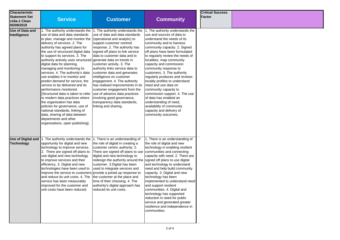| <b>Characteristic</b><br><b>Statement Set</b><br>v16a-1 Clean<br>05/09/2019 | <b>Service</b>                                                                                                                                                                                                                                                                                                                                                                                                                                                                                                                                                                                                                                                                                                                                                                                                               | <b>Customer</b>                                                                                                                                                                                                                                                                                                                                                                                                                                                                                                                                                                              | <b>Community</b>                                                                                                                                                                                                                                                                                                                                                                                                                                                                                                                                                                                                                             | <b>Critical Success</b><br>Factor |  |
|-----------------------------------------------------------------------------|------------------------------------------------------------------------------------------------------------------------------------------------------------------------------------------------------------------------------------------------------------------------------------------------------------------------------------------------------------------------------------------------------------------------------------------------------------------------------------------------------------------------------------------------------------------------------------------------------------------------------------------------------------------------------------------------------------------------------------------------------------------------------------------------------------------------------|----------------------------------------------------------------------------------------------------------------------------------------------------------------------------------------------------------------------------------------------------------------------------------------------------------------------------------------------------------------------------------------------------------------------------------------------------------------------------------------------------------------------------------------------------------------------------------------------|----------------------------------------------------------------------------------------------------------------------------------------------------------------------------------------------------------------------------------------------------------------------------------------------------------------------------------------------------------------------------------------------------------------------------------------------------------------------------------------------------------------------------------------------------------------------------------------------------------------------------------------------|-----------------------------------|--|
| <b>Use of Data and</b><br>Intelligence                                      | 1. The authority understands the<br>use of data and data standards<br>to plan, manage and monitor the<br>delivery of services. 2. The<br>authority has agreed plans for<br>the use of structured digital data<br>to support its services. 3. The<br>authority actively uses structured generate data on trends in<br>digital data for planning,<br>managing and monitoring its<br>services. 4. The authority's data<br>use enables it to monitor and<br>predict demand for service, the<br>service to be delivered and its<br>performance monitored.<br>[Structured data is taken to refer<br>to modern data practices where<br>the organisation has data<br>policies for governance, use of<br>national standards, linking of<br>data, sharing of data between<br>departments and other<br>organisations, open publishing]. | 1. The authority understands the<br>use of data and data standards<br>(operational and analytic) to<br>support customer centred<br>response. 2. The authority has<br>signed off plans to link service<br>Idata to customer data and to<br>customer activity. 3. The<br>authority links service data to<br>customer data and generates<br>intelligence on customer<br>engagement. 4. The authority<br>has realised improvements in its<br>customer engagement from the<br>use of advance data practices<br>involving good governance,<br>transparency data standards,<br>linking and sharing. | 1. The authority understands the<br>use and sources of data to<br>understand the needs of its<br>community and to harness<br>community capacity. 2. Signed<br>off plans have been formulated<br>to regularly review the needs of<br>localities, map community<br>capacity and commission<br>community response to<br>customers. 3. The authority<br>regularly produces and reviews<br>locality profiles to understand<br>need and use data on<br>community capacity to<br>commission support. 4. The use<br>of data has enabled an<br>understanding of need,<br>availability of community<br>capacity and delivery of<br>community outcomes. |                                   |  |
| Use of Digital and<br><b>Technology</b>                                     | 1. The authority understands the<br>opportunity for digital and new<br>technology to improve services.<br>2. There are signed off plans to<br>use digital and new technology<br>to improve services and their<br>efficiency. 3. Digital and new<br>technologies have been used to<br>improve the service to customers provide a joined up response to<br>and reduce its unit costs. 4. The<br>service has been measurably<br>improved for the customer and<br>lunit costs have been reduced.                                                                                                                                                                                                                                                                                                                                 | 1. There is an understanding of<br>the role of digital in creating a<br>customer centric authority. 2.<br>There are signed off plans to use<br>digital and new technology to<br>redesign the authority around the<br>customer. 3. Digital has been<br>used to integrate services and<br>the customer at the place and<br>time of their choosing. 4. The<br>authority's digital approach has<br>reduced its unit costs.                                                                                                                                                                       | 1. There is an understanding of<br>the role of digital and new<br>technology in enabling resilient<br>communities and connecting<br>capacity with need. 2. There are<br>signed off plans to use digital<br>and technology to understand<br>need and help build community<br>capacity. 3. Digital and new<br>technology has been<br>implemented to understand need<br>and support resilient<br>communities. 4. Digital and<br>technology has supported<br>reduction in need for public<br>service and generated greater<br>resilience and independence in<br>communities.                                                                     |                                   |  |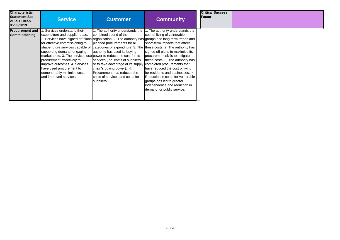| <b>Characteristic</b><br><b>Statement Set</b><br>v16a-1 Clean<br>05/09/2019 | <b>Service</b>                                                                                                                                                                                                                                                                                                                                                                             | <b>Customer</b>                                                                                                                                                                                                                                                                                                                                                                                                                                                                                                               | <b>Community</b>                                                                                                                                                                                                                                                                                                                                                                                                     | <b>Critical Success</b><br><b>Factor</b> |  |
|-----------------------------------------------------------------------------|--------------------------------------------------------------------------------------------------------------------------------------------------------------------------------------------------------------------------------------------------------------------------------------------------------------------------------------------------------------------------------------------|-------------------------------------------------------------------------------------------------------------------------------------------------------------------------------------------------------------------------------------------------------------------------------------------------------------------------------------------------------------------------------------------------------------------------------------------------------------------------------------------------------------------------------|----------------------------------------------------------------------------------------------------------------------------------------------------------------------------------------------------------------------------------------------------------------------------------------------------------------------------------------------------------------------------------------------------------------------|------------------------------------------|--|
| <b>Procurement and</b><br><b>Commissioning</b>                              | Services understand their<br>expenditure and supplier base.<br>for effective commissioning to<br>shape future services capable of<br>supporting demand, engaging<br>markets, etc. 3. The services use power to reduce the cost for its<br>procurement effectively to<br>improve outcomes. 4. Services<br>have used procurement to<br>demonstrably minimise costs<br>and improved services. | 1. The authority understands the<br>combined spend of the<br>2. Services have signed off plans organisation. 2. The authority has groups and long-term trends and<br>planned procurements for all<br>categories of expenditure. 3. The these costs. 2. The authority has<br>authority has used its buying<br>services (inc. costs of suppliers<br>or to take advantage of its supply completed procurements that<br>chain's buying power). 4.<br>Procurement has reduced the<br>costs of services and costs for<br>suppliers. | 1. The authority understands the<br>cost of living of vulnerable<br>short-term impacts that affect<br>signed off plans to maximise its<br>procurement skills to mitigate<br>these costs. 3. The authority has<br>have reduced the cost of living<br>for residents and businesses. 4<br>Reduction in costs for vulnerable<br>groups has led to greater<br>independence and reduction in<br>demand for public service. |                                          |  |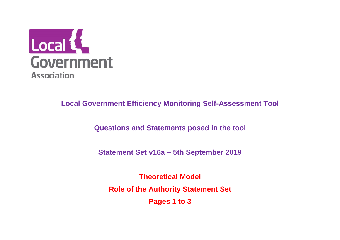

**Questions and Statements posed in the tool**

**Statement Set v16a – 5th September 2019**

**Theoretical Model Role of the Authority Statement Set Pages 1 to 3**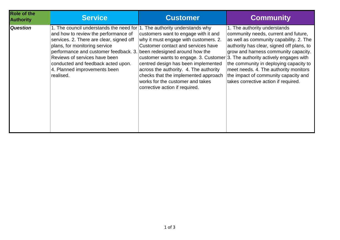| <b>Role of the</b><br><b>Authority</b> | <b>Service</b>                                                               | <b>Customer</b>                                                                 | <b>Community</b>                          |
|----------------------------------------|------------------------------------------------------------------------------|---------------------------------------------------------------------------------|-------------------------------------------|
| <b>Question</b>                        | 1. The council understands the need for $ 1$ . The authority understands why | customers want to engage with it and                                            | 1. The authority understands              |
|                                        | and how to review the performance of                                         | why it must engage with customers. 2.                                           | community needs, current and future,      |
|                                        | services. 2. There are clear, signed off                                     | Customer contact and services have                                              | as well as community capability. 2. The   |
|                                        | plans, for monitoring service                                                | customer wants to engage. 3. Customer $3$ . The authority actively engages with | authority has clear, signed off plans, to |
|                                        | performance and customer feedback. 3. been redesigned around how the         | centred design has been implemented                                             | grow and harness community capacity.      |
|                                        | Reviews of services have been                                                | across the authority. 4. The authority                                          | the community in deploying capacity to    |
|                                        | conducted and feedback acted upon.                                           | checks that the implemented approach                                            | meet needs. 4. The authority monitors     |
|                                        | 4. Planned improvements been                                                 | works for the customer and takes                                                | the impact of community capacity and      |
|                                        | realised.                                                                    | corrective action if required.                                                  | takes corrective action if required.      |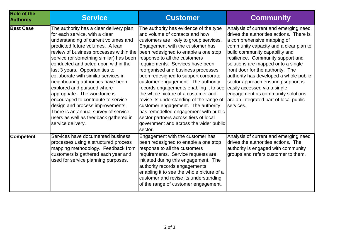| <b>Role of the</b><br><b>Authority</b> | <b>Service</b>                                                                                                                                                                                                                                                                                                                                                                                                                                                                                                                                                                                                                                     | <b>Customer</b>                                                                                                                                                                                                                                                                                                                                                                                                                                                                                                                                                                                                                                                                                    | <b>Community</b>                                                                                                                                                                                                                                                                                                                                                                                                                                                                                                         |
|----------------------------------------|----------------------------------------------------------------------------------------------------------------------------------------------------------------------------------------------------------------------------------------------------------------------------------------------------------------------------------------------------------------------------------------------------------------------------------------------------------------------------------------------------------------------------------------------------------------------------------------------------------------------------------------------------|----------------------------------------------------------------------------------------------------------------------------------------------------------------------------------------------------------------------------------------------------------------------------------------------------------------------------------------------------------------------------------------------------------------------------------------------------------------------------------------------------------------------------------------------------------------------------------------------------------------------------------------------------------------------------------------------------|--------------------------------------------------------------------------------------------------------------------------------------------------------------------------------------------------------------------------------------------------------------------------------------------------------------------------------------------------------------------------------------------------------------------------------------------------------------------------------------------------------------------------|
| <b>Best Case</b>                       | The authority has a clear delivery plan<br>for each service, with a clear<br>understanding of current volumes and<br>predicted future volumes. A lean<br>review of business processes within the<br>service (or something similar) has been<br>conducted and acted upon within the<br>last 3 years. Opportunities to<br>collaborate with similar services in<br>neighbouring authorities have been<br>explored and pursued where<br>appropriate. The workforce is<br>encouraged to contribute to service<br>design and process improvements.<br>There is an annual survey of service<br>users as well as feedback gathered in<br>service delivery. | The authority has evidence of the type<br>and volume of contacts and how<br>customers are likely to group services.<br>Engagement with the customer has<br>been redesigned to enable a one stop<br>response to all the customers<br>requirements. Services have been<br>reorganised and business processes<br>been redesigned to support corporate<br>customer engagement. The authority<br>records engagements enabling it to see<br>the whole picture of a customer and<br>revise its understanding of the range of<br>customer engagement. The authority<br>has remodelled engagement with public<br>sector partners across tiers of local<br>government and across the wider public<br>sector. | Analysis of current and emerging need<br>drives the authorities actions. There is<br>a comprehensive mapping of<br>community capacity and a clear plan to<br>build community capability and<br>resilience. Community support and<br>solutions are mapped onto a single<br>front door for the authority. The<br>authority has developed a whole public<br>sector approach ensuring support is<br>easily accessed via a single<br>engagement as community solutions<br>are an integrated part of local public<br>services. |
| Competent                              | Services have documented business<br>processes using a structured process<br>mapping methodology. Feedback from<br>customers is gathered each year and<br>used for service planning purposes.                                                                                                                                                                                                                                                                                                                                                                                                                                                      | Engagement with the customer has<br>been redesigned to enable a one stop<br>response to all the customers<br>requirements. Service requests are<br>initiated during this engagement. The<br>authority records engagements<br>enabling it to see the whole picture of a<br>customer and revise its understanding<br>of the range of customer engagement.                                                                                                                                                                                                                                                                                                                                            | Analysis of current and emerging need<br>drives the authorities actions. The<br>authority is engaged with community<br>groups and refers customer to them.                                                                                                                                                                                                                                                                                                                                                               |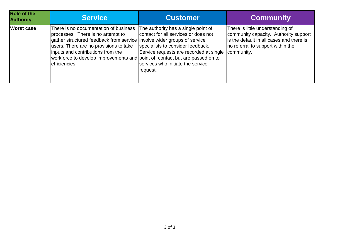| Role of the<br><b>Authority</b> | <b>Service</b>                                                                                                                                                                                                                                                                                                                       | <b>Customer</b>                                                                                                                                                                                              | <b>Community</b>                                                                                                                                                         |
|---------------------------------|--------------------------------------------------------------------------------------------------------------------------------------------------------------------------------------------------------------------------------------------------------------------------------------------------------------------------------------|--------------------------------------------------------------------------------------------------------------------------------------------------------------------------------------------------------------|--------------------------------------------------------------------------------------------------------------------------------------------------------------------------|
| <b>Worst case</b>               | There is no documentation of business<br>processes. There is no attempt to<br>gather structured feedback from service involve wider groups of service<br>users. There are no provisions to take<br>inputs and contributions from the<br>workforce to develop improvements and point of contact but are passed on to<br>efficiencies. | The authority has a single point of<br>contact for all services or does not<br>specialists to consider feedback.<br>Service requests are recorded at single<br>services who initiate the service<br>request. | There is little understanding of<br>community capacity. Authority support<br>is the default in all cases and there is<br>no referral to support within the<br>community. |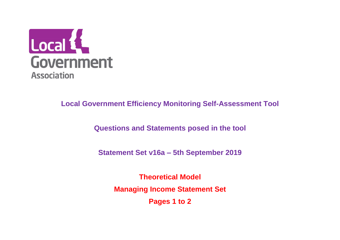

**Questions and Statements posed in the tool**

**Statement Set v16a – 5th September 2019**

**Theoretical Model Managing Income Statement Set Pages 1 to 2**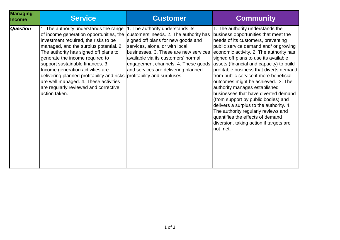| <b>Managing</b><br><b>Income</b> | <b>Service</b>                                                                                                                                                                                                                                                                                                                                                                                                                                                                                        | <b>Customer</b>                                                                                                                                                                                                                                                                                                  | <b>Community</b>                                                                                                                                                                                                                                                                                                                                                                                                                                                                                                                                                                                                                                                                                                |
|----------------------------------|-------------------------------------------------------------------------------------------------------------------------------------------------------------------------------------------------------------------------------------------------------------------------------------------------------------------------------------------------------------------------------------------------------------------------------------------------------------------------------------------------------|------------------------------------------------------------------------------------------------------------------------------------------------------------------------------------------------------------------------------------------------------------------------------------------------------------------|-----------------------------------------------------------------------------------------------------------------------------------------------------------------------------------------------------------------------------------------------------------------------------------------------------------------------------------------------------------------------------------------------------------------------------------------------------------------------------------------------------------------------------------------------------------------------------------------------------------------------------------------------------------------------------------------------------------------|
| <b>Question</b>                  | 1. The authority understands the range<br>of income generation opportunities, the<br>investment required, the risks to be<br>managed, and the surplus potential. 2.<br>The authority has signed off plans to<br>generate the income required to<br>support sustainable finances. 3.<br>Income generation activities are<br>delivering planned profitability and risks profitability and surpluses.<br>are well managed. 4. These activities<br>are regularly reviewed and corrective<br>action taken. | 1. The authority understands its<br>customers' needs. 2. The authority has<br>signed off plans for new goods and<br>services, alone, or with local<br>businesses. 3. These are new services<br>available via its customers' normal<br>engagement channels. 4. These goods<br>and services are delivering planned | 1. The authority understands the<br>business opportunities that meet the<br>needs of its customers, preventing<br>public service demand and/ or growing<br>economic activity. 2. The authority has<br>signed off plans to use its available<br>assets (financial and capacity) to build<br>profitable business that diverts demand<br>from public service if more beneficial<br>outcomes might be achieved. 3. The<br>authority manages established<br>businesses that have diverted demand<br>(from support by public bodies) and<br>delivers a surplus to the authority. 4.<br>The authority regularly reviews and<br>quantifies the effects of demand<br>diversion, taking action if targets are<br>not met. |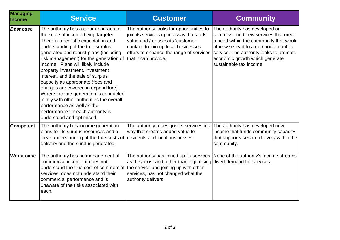| <b>Managing</b><br>Income | <b>Service</b>                                                                                                                                                                                                                                                                                                                                                                                                                                                                                                                                                                                                                                     | <b>Customer</b>                                                                                                                                                                                                          | <b>Community</b>                                                                                                                                                                                                                                               |
|---------------------------|----------------------------------------------------------------------------------------------------------------------------------------------------------------------------------------------------------------------------------------------------------------------------------------------------------------------------------------------------------------------------------------------------------------------------------------------------------------------------------------------------------------------------------------------------------------------------------------------------------------------------------------------------|--------------------------------------------------------------------------------------------------------------------------------------------------------------------------------------------------------------------------|----------------------------------------------------------------------------------------------------------------------------------------------------------------------------------------------------------------------------------------------------------------|
| <b>Best case</b>          | The authority has a clear approach for<br>the scale of income being targeted.<br>There is a realistic expectation and<br>understanding of the true surplus<br>generated and robust plans (including<br>risk management) for the generation of that it can provide.<br>income. Plans will likely include<br>property investment, investment<br>interest, and the sale of surplus<br>capacity as appropriate (fees and<br>charges are covered in expenditure).<br>Where income generation is conducted<br>jointly with other authorities the overall<br>performance as well as the<br>performance for each authority is<br>understood and optimised. | The authority looks for opportunities to<br>join its services up in a way that adds<br>value and / or uses its 'customer<br>contact' to join up local businesses<br>offers to enhance the range of services              | The authority has developed or<br>commissioned new services that meet<br>a need within the community that would<br>otherwise lead to a demand on public<br>service. The authority looks to promote<br>economic growth which generate<br>sustainable tax income |
| <b>Competent</b>          | The authority has income generation<br>plans for its surplus resources and a<br>clear understanding of the true costs of residents and local businesses.<br>delivery and the surplus generated.                                                                                                                                                                                                                                                                                                                                                                                                                                                    | The authority redesigns its services in a<br>way that creates added value to                                                                                                                                             | The authority has developed new<br>income that funds community capacity<br>that supports service delivery within the<br>community.                                                                                                                             |
| <b>Worst case</b>         | The authority has no management of<br>commercial income, it does not<br>understand the true cost of commercial<br>services, does not understand their<br>commercial performance and is<br>unaware of the risks associated with<br>each.                                                                                                                                                                                                                                                                                                                                                                                                            | The authority has joined up its services<br>as they exist and, other than digitalising divert demand for services.<br>the service and joining up with other<br>services, has not changed what the<br>authority delivers. | None of the authority's income streams                                                                                                                                                                                                                         |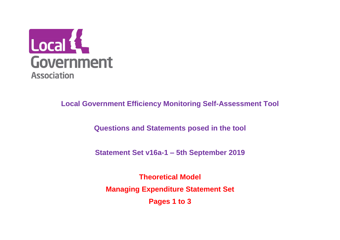

**Questions and Statements posed in the tool**

**Statement Set v16a-1 – 5th September 2019**

**Theoretical Model Managing Expenditure Statement Set Pages 1 to 3**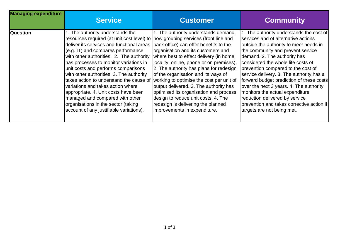| <b>Managing expenditure</b> | <b>Service</b>                             | <b>Customer</b>                          | <b>Community</b>                          |
|-----------------------------|--------------------------------------------|------------------------------------------|-------------------------------------------|
| <b>Question</b>             | 1. The authority understands the           | 1. The authority understands demand,     | 1. The authority understands the cost of  |
|                             | resources required (at unit cost level) to | how grouping services (front line and    | services and of alternative actions       |
|                             | deliver its services and functional areas  | back office) can offer benefits to the   | outside the authority to meet needs in    |
|                             | (e.g. IT) and compares performance         | organisation and its customers and       | the community and prevent service         |
|                             | with other authorities. 2. The authority   | where best to effect delivery (in home,  | demand. 2. The authority has              |
|                             | has processes to monitor variations in     | locality, online, phone or on premises). | considered the whole life costs of        |
|                             | unit costs and performs comparisons        | 2. The authority has plans for redesign  | prevention compared to the cost of        |
|                             | with other authorities. 3. The authority   | of the organisation and its ways of      | service delivery. 3. The authority has a  |
|                             | takes action to understand the cause of    | working to optimise the cost per unit of | forward budget prediction of these costs  |
|                             | variations and takes action where          | output delivered. 3. The authority has   | over the next 3 years. 4. The authority   |
|                             | appropriate. 4. Unit costs have been       | optimised its organisation and process   | monitors the actual expenditure           |
|                             | managed and compared with other            | design to reduce unit costs. 4. The      | reduction delivered by service            |
|                             | organisations in the sector (taking        | redesign is delivering the planned       | prevention and takes corrective action if |
|                             | account of any justifiable variations).    | improvements in expenditure.             | targets are not being met.                |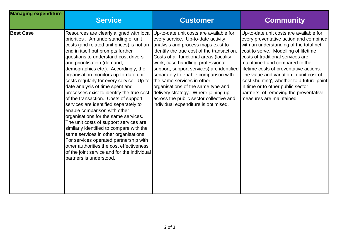| <b>Managing expenditure</b> | <b>Service</b>                                                                                                                                                                                                                                                                                                                                                                                                                                                                                                                                                                                                                                                                                                                                                                                                                                                                                                                                                                      | <b>Customer</b>                                                                                                                                                                                                                                                                                                                                                                                                                                             | <b>Community</b>                                                                                                                                                                                                                                                                                                                                                                                                                                                                        |
|-----------------------------|-------------------------------------------------------------------------------------------------------------------------------------------------------------------------------------------------------------------------------------------------------------------------------------------------------------------------------------------------------------------------------------------------------------------------------------------------------------------------------------------------------------------------------------------------------------------------------------------------------------------------------------------------------------------------------------------------------------------------------------------------------------------------------------------------------------------------------------------------------------------------------------------------------------------------------------------------------------------------------------|-------------------------------------------------------------------------------------------------------------------------------------------------------------------------------------------------------------------------------------------------------------------------------------------------------------------------------------------------------------------------------------------------------------------------------------------------------------|-----------------------------------------------------------------------------------------------------------------------------------------------------------------------------------------------------------------------------------------------------------------------------------------------------------------------------------------------------------------------------------------------------------------------------------------------------------------------------------------|
| <b>Best Case</b>            | Resources are clearly aligned with local Up-to-date unit costs are available for<br>priorities. An understanding of unit<br>costs (and related unit prices) is not an<br>end in itself but prompts further<br>questions to understand cost drivers,<br>and prioritisation (demand,<br>demographics etc.). Accordingly, the<br>organisation monitors up-to-date unit<br>costs regularly for every service. Up-to- the same services in other<br>date analysis of time spent and<br>processes exist to identify the true cost<br>of the transaction. Costs of support<br>services are identified separately to<br>enable comparison with other<br>organisations for the same services.<br>The unit costs of support services are<br>similarly identified to compare with the<br>same services in other organisations.<br>For services operated partnership with<br>other authorities the cost effectiveness<br>of the joint service and for the individual<br>partners is understood. | every service. Up-to-date activity<br>analysis and process maps exist to<br>identify the true cost of the transaction.<br>Costs of all functional areas (locality<br>work, case handling, professional<br>support, support services) are identified<br>separately to enable comparison with<br>organisations of the same type and<br>delivery strategy. Where joining up<br>across the public sector collective and<br>individual expenditure is optimised. | Up-to-date unit costs are available for<br>every preventative action and combined<br>with an understanding of the total net<br>cost to serve. Modelling of lifetime<br>costs of traditional services are<br>maintained and compared to the<br>lifetime costs of preventative actions.<br>The value and variation in unit cost of<br>cost shunting', whether to a future point<br>in time or to other public sector<br>partners, of removing the preventative<br>measures are maintained |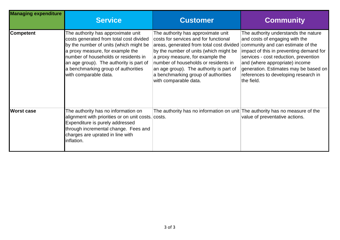| <b>Managing expenditure</b> | <b>Service</b>                                                                                                                                                                                                                                                                                                 | <b>Customer</b>                                                                                                                                                                                                                                                                                                                                          | <b>Community</b>                                                                                                                                                                                                                                                                                                                 |
|-----------------------------|----------------------------------------------------------------------------------------------------------------------------------------------------------------------------------------------------------------------------------------------------------------------------------------------------------------|----------------------------------------------------------------------------------------------------------------------------------------------------------------------------------------------------------------------------------------------------------------------------------------------------------------------------------------------------------|----------------------------------------------------------------------------------------------------------------------------------------------------------------------------------------------------------------------------------------------------------------------------------------------------------------------------------|
| <b>Competent</b>            | The authority has approximate unit<br>costs generated from total cost divided<br>by the number of units (which might be<br>a proxy measure, for example the<br>number of households or residents in<br>an age group). The authority is part of<br>a benchmarking group of authorities<br>with comparable data. | The authority has approximate unit<br>costs for services and for functional<br>areas, generated from total cost divided<br>by the number of units (which might be<br>a proxy measure, for example the<br>number of households or residents in<br>an age group). The authority is part of<br>a benchmarking group of authorities<br>with comparable data. | The authority understands the nature<br>and costs of engaging with the<br>community and can estimate of the<br>impact of this in preventing demand for<br>services - cost reduction, prevention<br>and (where appropriate) income<br>generation. Estimates may be based on<br>references to developing research in<br>the field. |
| <b>Worst case</b>           | The authority has no information on<br>alignment with priorities or on unit costs. costs.<br>Expenditure is purely addressed<br>through incremental change. Fees and<br>charges are uprated in line with<br>inflation.                                                                                         | The authority has no information on unit The authority has no measure of the                                                                                                                                                                                                                                                                             | value of preventative actions.                                                                                                                                                                                                                                                                                                   |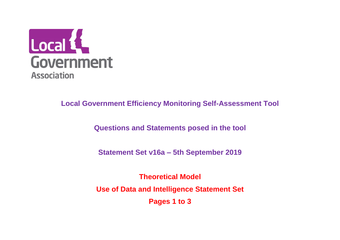

**Questions and Statements posed in the tool**

**Statement Set v16a – 5th September 2019**

**Theoretical Model Use of Data and Intelligence Statement Set Pages 1 to 3**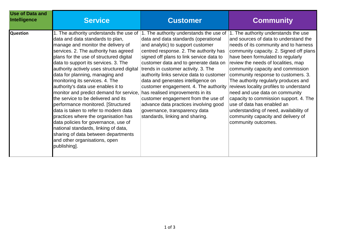| <b>Use of Data and</b><br>Intelligence | <b>Service</b>                                                                                                                                                                                                                                                                                                                                                                                                                                                                                                                                                                                                                                                                                                                                | <b>Customer</b>                                                                                                                                                                                                                                                                                                                                                                                                                                                                                                                                                                                                                                                                              | <b>Community</b>                                                                                                                                                                                                                                                                                                                                                                                                                                                                                                                                                                      |
|----------------------------------------|-----------------------------------------------------------------------------------------------------------------------------------------------------------------------------------------------------------------------------------------------------------------------------------------------------------------------------------------------------------------------------------------------------------------------------------------------------------------------------------------------------------------------------------------------------------------------------------------------------------------------------------------------------------------------------------------------------------------------------------------------|----------------------------------------------------------------------------------------------------------------------------------------------------------------------------------------------------------------------------------------------------------------------------------------------------------------------------------------------------------------------------------------------------------------------------------------------------------------------------------------------------------------------------------------------------------------------------------------------------------------------------------------------------------------------------------------------|---------------------------------------------------------------------------------------------------------------------------------------------------------------------------------------------------------------------------------------------------------------------------------------------------------------------------------------------------------------------------------------------------------------------------------------------------------------------------------------------------------------------------------------------------------------------------------------|
| <b>Question</b>                        | data and data standards to plan,<br>manage and monitor the delivery of<br>services. 2. The authority has agreed<br>plans for the use of structured digital<br>data to support its services. 3. The<br>authority actively uses structured digital<br>data for planning, managing and<br>monitoring its services. 4. The<br>authority's data use enables it to<br>monitor and predict demand for service,<br>the service to be delivered and its<br>performance monitored. [Structured<br>data is taken to refer to modern data<br>practices where the organisation has<br>data policies for governance, use of<br>national standards, linking of data,<br>sharing of data between departments<br>and other organisations, open<br>publishing]. | 1. The authority understands the use of  1. The authority understands the use of  1. The authority understands the use<br>data and data standards (operational<br>and analytic) to support customer<br>centred response. 2. The authority has<br>signed off plans to link service data to<br>customer data and to generate data on<br>trends in customer activity. 3. The<br>authority links service data to customer<br>data and generates intelligence on<br>customer engagement. 4. The authority<br>has realised improvements in its<br>customer engagement from the use of<br>advance data practices involving good<br>governance, transparency data<br>standards, linking and sharing. | and sources of data to understand the<br>needs of its community and to harness<br>community capacity. 2. Signed off plans<br>have been formulated to regularly<br>review the needs of localities, map<br>community capacity and commission<br>community response to customers. 3.<br>The authority regularly produces and<br>reviews locality profiles to understand<br>need and use data on community<br>capacity to commission support. 4. The<br>use of data has enabled an<br>understanding of need, availability of<br>community capacity and delivery of<br>community outcomes. |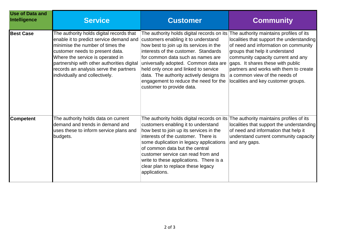| <b>Use of Data and</b><br>Intelligence | <b>Service</b>                                                                                                                                                                                                                                                                                                           | <b>Customer</b>                                                                                                                                                                                                                                                                                                                                                                                                                      | <b>Community</b>                                                                                                                                                                                                                                                                                                                                            |
|----------------------------------------|--------------------------------------------------------------------------------------------------------------------------------------------------------------------------------------------------------------------------------------------------------------------------------------------------------------------------|--------------------------------------------------------------------------------------------------------------------------------------------------------------------------------------------------------------------------------------------------------------------------------------------------------------------------------------------------------------------------------------------------------------------------------------|-------------------------------------------------------------------------------------------------------------------------------------------------------------------------------------------------------------------------------------------------------------------------------------------------------------------------------------------------------------|
| <b>Best Case</b>                       | The authority holds digital records that<br>enable it to predict service demand and<br>minimise the number of times the<br>customer needs to present data.<br>Where the service is operated in<br>partnership with other authorities digital<br>records an analysis serve the partners<br>individually and collectively. | The authority holds digital records on its<br>customers enabling it to understand<br>how best to join up its services in the<br>interests of the customer. Standards<br>for common data such as names are<br>universally adopted. Common data are<br>held only once and linked to service<br>data. The authority actively designs its<br>engagement to reduce the need for the<br>customer to provide data.                          | The authority maintains profiles of its<br>localities that support the understanding<br>of need and information on community<br>groups that help it understand<br>community capacity current and any<br>gaps. It shares these with public<br>partners and works with them to create<br>a common view of the needs of<br>localities and key customer groups. |
| <b>Competent</b>                       | The authority holds data on current<br>demand and trends in demand and<br>uses these to inform service plans and<br>budgets.                                                                                                                                                                                             | The authority holds digital records on its $ $ The authority maintains profiles of its<br>customers enabling it to understand<br>how best to join up its services in the<br>interests of the customer. There is<br>some duplication in legacy applications<br>of common data but the central<br>customer service can read from and<br>write to these applications. There is a<br>clear plan to replace these legacy<br>applications. | localities that support the understanding<br>of need and information that help it<br>understand current community capacity<br>and any gaps.                                                                                                                                                                                                                 |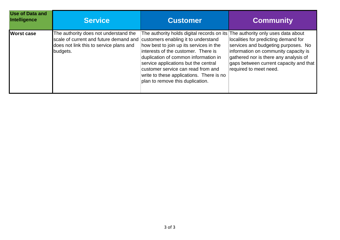| <b>Use of Data and</b><br>Intelligence | <b>Service</b>                                                                                                                         | <b>Customer</b>                                                                                                                                                                                                                                                                                                                                                           | <b>Community</b>                                                                                                                                                                                                                                                       |
|----------------------------------------|----------------------------------------------------------------------------------------------------------------------------------------|---------------------------------------------------------------------------------------------------------------------------------------------------------------------------------------------------------------------------------------------------------------------------------------------------------------------------------------------------------------------------|------------------------------------------------------------------------------------------------------------------------------------------------------------------------------------------------------------------------------------------------------------------------|
| <b>Worst case</b>                      | The authority does not understand the<br>scale of current and future demand and<br>does not link this to service plans and<br>budgets. | The authority holds digital records on its<br>customers enabling it to understand<br>how best to join up its services in the<br>interests of the customer. There is<br>duplication of common information in<br>service applications but the central<br>customer service can read from and<br>write to these applications. There is no<br>plan to remove this duplication. | The authority only uses data about<br>localities for predicting demand for<br>services and budgeting purposes. No<br>information on community capacity is<br>gathered nor is there any analysis of<br>gaps between current capacity and that<br>required to meet need. |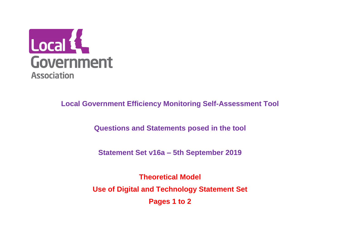

**Questions and Statements posed in the tool**

**Statement Set v16a – 5th September 2019**

**Theoretical Model Use of Digital and Technology Statement Set Pages 1 to 2**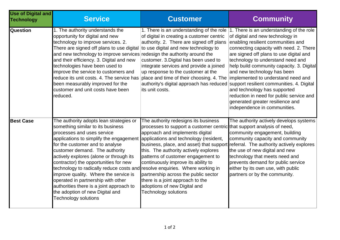| <b>Use of Digital and</b><br><b>Technology</b> | <b>Service</b>                                                                                                                                                                                                                                                                                                                                                                                                                                                                                                                                                                                                                     | <b>Customer</b>                                                                                                                                                                                                                                                                                                                                                                                                                                                                                          | <b>Community</b>                                                                                                                                                                                                                                                                                                                                                                                                                                                          |
|------------------------------------------------|------------------------------------------------------------------------------------------------------------------------------------------------------------------------------------------------------------------------------------------------------------------------------------------------------------------------------------------------------------------------------------------------------------------------------------------------------------------------------------------------------------------------------------------------------------------------------------------------------------------------------------|----------------------------------------------------------------------------------------------------------------------------------------------------------------------------------------------------------------------------------------------------------------------------------------------------------------------------------------------------------------------------------------------------------------------------------------------------------------------------------------------------------|---------------------------------------------------------------------------------------------------------------------------------------------------------------------------------------------------------------------------------------------------------------------------------------------------------------------------------------------------------------------------------------------------------------------------------------------------------------------------|
| <b>Question</b>                                | 1. The authority understands the<br>opportunity for digital and new<br>technology to improve services. 2.<br>There are signed off plans to use digital<br>and new technology to improve services redesign the authority around the<br>and their efficiency. 3. Digital and new<br>technologies have been used to<br>improve the service to customers and<br>reduce its unit costs. 4. The service has<br>been measurably improved for the<br>customer and unit costs have been<br>reduced.                                                                                                                                         | 1. There is an understanding of the role<br>of digital in creating a customer centric<br>authority. 2. There are signed off plans<br>to use digital and new technology to<br>customer. 3. Digital has been used to<br>integrate services and provide a joined<br>up response to the customer at the<br>place and time of their choosing. 4. The implemented to understand need and<br>authority's digital approach has reduced support resilient communities. 4. Digital<br>its unit costs.              | 1. There is an understanding of the role<br>of digital and new technology in<br>enabling resilient communities and<br>connecting capacity with need. 2. There<br>are signed off plans to use digital and<br>technology to understand need and<br>help build community capacity. 3. Digital<br>and new technology has been<br>and technology has supported<br>reduction in need for public service and<br>generated greater resilience and<br>independence in communities. |
| <b>Best Case</b>                               | The authority adopts lean strategies or<br>something similar to its business<br>processes and uses service<br>applications to simplify the engagement applications and technology (resident,<br>for the customer and to analyse<br>customer demand. The authority<br>actively explores (alone or through its<br>contractor) the opportunities for new<br>technology to radically reduce costs and resolve enquiries. Where working in<br>improve quality. Where the service is<br>operated in partnership with other<br>authorities there is a joint approach to<br>the adoption of new Digital and<br><b>Technology solutions</b> | The authority redesigns its business<br>processes to support a customer centric that support analysis of need,<br>approach and implements digital<br>business, place, and asset) that support referral. The authority actively explores<br>this. The authority actively explores<br>patterns of customer engagement to<br>continuously improve its ability to<br>partnership across the public sector<br>there is a joint approach to the<br>adoptions of new Digital and<br><b>Technology solutions</b> | The authority actively develops systems<br>community engagement, building<br>community capacity and community<br>the use of new digital and new<br>technology that meets need and<br>prevents demand for public service<br>either by its own use, with public<br>partners or by the community.                                                                                                                                                                            |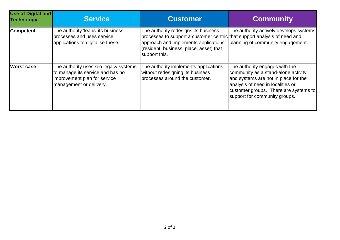| <b>Use of Digital and</b><br><b>Technology</b> | <b>Service</b>                                                                                                                        | <b>Customer</b>                                                                                                                                                                                                       | <b>Community</b>                                                                                                                                                                                                             |
|------------------------------------------------|---------------------------------------------------------------------------------------------------------------------------------------|-----------------------------------------------------------------------------------------------------------------------------------------------------------------------------------------------------------------------|------------------------------------------------------------------------------------------------------------------------------------------------------------------------------------------------------------------------------|
| <b>Competent</b>                               | The authority 'leans' its business<br>processes and uses service<br>applications to digitalise these.                                 | The authority redesigns its business<br>processes to support a customer centric that support analysis of need and<br>approach and implements applications<br>(resident, business, place, asset) that<br>support this. | The authority actively develops systems<br>planning of community engagement.                                                                                                                                                 |
| <b>Worst case</b>                              | The authority uses silo legacy systems<br>to manage its service and has no<br>improvement plan for service<br>management or delivery. | The authority implements applications<br>without redesigning its business<br>processes around the customer.                                                                                                           | The authority engages with the<br>community as a stand-alone activity<br>and systems are not in place for the<br>analysis of need in localities or<br>customer groups. There are systems to<br>support for community groups. |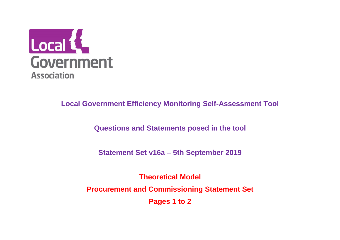

**Questions and Statements posed in the tool**

**Statement Set v16a – 5th September 2019**

**Theoretical Model Procurement and Commissioning Statement Set Pages 1 to 2**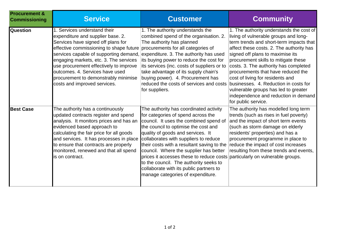| <b>Procurement &amp;</b><br><b>Commissioning</b> | <b>Service</b>                                                                                                                                                                                                                                                                                                                                                                              | <b>Customer</b>                                                                                                                                                                                                                                                                                                                                                                                                                                                                                                                               | <b>Community</b>                                                                                                                                                                                                                                                                                                                                                                                                                                                                                                        |
|--------------------------------------------------|---------------------------------------------------------------------------------------------------------------------------------------------------------------------------------------------------------------------------------------------------------------------------------------------------------------------------------------------------------------------------------------------|-----------------------------------------------------------------------------------------------------------------------------------------------------------------------------------------------------------------------------------------------------------------------------------------------------------------------------------------------------------------------------------------------------------------------------------------------------------------------------------------------------------------------------------------------|-------------------------------------------------------------------------------------------------------------------------------------------------------------------------------------------------------------------------------------------------------------------------------------------------------------------------------------------------------------------------------------------------------------------------------------------------------------------------------------------------------------------------|
| <b>Question</b>                                  | 1. Services understand their<br>expenditure and supplier base. 2.<br>Services have signed off plans for<br>effective commissioning to shape future<br>services capable of supporting demand,<br>engaging markets, etc. 3. The services<br>use procurement effectively to improve<br>outcomes. 4. Services have used<br>procurement to demonstrably minimise<br>costs and improved services. | 1. The authority understands the<br>combined spend of the organisation. 2.<br>The authority has planned<br>procurements for all categories of<br>expenditure. 3. The authority has used<br>its buying power to reduce the cost for<br>its services (inc. costs of suppliers or to<br>take advantage of its supply chain's<br>buying power). 4. Procurement has<br>reduced the costs of services and costs<br>for suppliers.                                                                                                                   | 1. The authority understands the cost of<br>living of vulnerable groups and long-<br>term trends and short-term impacts that<br>affect these costs. 2. The authority has<br>signed off plans to maximise its<br>procurement skills to mitigate these<br>costs. 3. The authority has completed<br>procurements that have reduced the<br>cost of living for residents and<br>businesses. 4. Reduction in costs for<br>vulnerable groups has led to greater<br>independence and reduction in demand<br>for public service. |
| <b>Best Case</b>                                 | The authority has a continuously<br>updated contracts register and spend<br>analysis. It monitors prices and has an<br>evidenced based approach to<br>calculating the fair price for all goods<br>and services. It has processes in place<br>to ensure that contracts are properly<br>monitored, renewed and that all spend<br>is on contract.                                              | The authority has coordinated activity<br>for categories of spend across the<br>council. It uses the combined spend of<br>the council to optimise the cost and<br>quality of goods and services. It<br>collaborates with suppliers to reduce<br>their costs with a resultant saving to the<br>council. Where the supplier has better<br>prices it accesses these to reduce costs particularly on vulnerable groups.<br>to the council. The authority seeks to<br>collaborate with its public partners to<br>manage categories of expenditure. | The authority has modelled long term<br>trends (such as rises in fuel poverty)<br>and the impact of short term events<br>(such as storm damage on elderly<br>residents' properties) and has a<br>procurement programme in place to<br>reduce the impact of cost increases<br>resulting from these trends and events,                                                                                                                                                                                                    |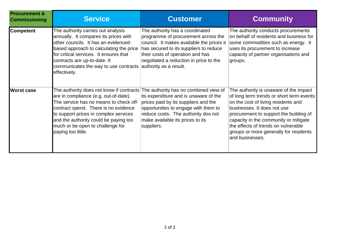| <b>Procurement &amp;</b><br><b>Commissioning</b> | <b>Service</b>                                                                                                                                                                                                                                                                                                  | <b>Customer</b>                                                                                                                                                                                                                                                       | <b>Community</b>                                                                                                                                                                                                                                                                                                                                |
|--------------------------------------------------|-----------------------------------------------------------------------------------------------------------------------------------------------------------------------------------------------------------------------------------------------------------------------------------------------------------------|-----------------------------------------------------------------------------------------------------------------------------------------------------------------------------------------------------------------------------------------------------------------------|-------------------------------------------------------------------------------------------------------------------------------------------------------------------------------------------------------------------------------------------------------------------------------------------------------------------------------------------------|
| <b>Competent</b>                                 | The authority carries out analysis<br>annually. It compares its prices with<br>other councils. It has an evidenced-<br>based approach to calculating the price<br>for critical services. It ensures that<br>contracts are up-to-date. It<br>communicates the way to use contracts<br>effectively.               | The authority has a coordinated<br>programme of procurement across the<br>council. It makes available the prices it<br>has secured to its suppliers to reduce<br>their costs of operation and has<br>negotiated a reduction in price to the<br>authority as a result. | The authority conducts procurements<br>on behalf of residents and business for<br>some commodities such as energy. It<br>uses its procurement to increase<br>capacity of partner organisations and<br>groups.                                                                                                                                   |
| <b>Worst case</b>                                | The authority does not know if contracts<br>are in compliance (e.g. out-of-date).<br>The service has no means to check off-<br>contract spend. There is no evidence<br>to support prices in complex services<br>and the authority could be paying too<br>much or be open to challenge for<br>paying too little. | The authority has no combined view of<br>its expenditure and is unaware of the<br>prices paid by its suppliers and the<br>opportunities to engage with them to<br>reduce costs. The authority dos not<br>make available its prices to its<br>suppliers.               | The authority is unaware of the impact<br>of long term trends or short term events<br>on the cost of living residents and<br>businesses. It does not use<br>procurement to support the building of<br>capacity in the community or mitigate<br>the effects of trends on vulnerable<br>groups or more generally for residents<br>and businesses. |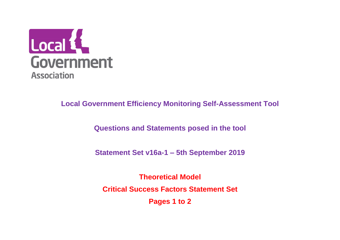

**Questions and Statements posed in the tool**

**Statement Set v16a-1 – 5th September 2019**

**Theoretical Model Critical Success Factors Statement Set Pages 1 to 2**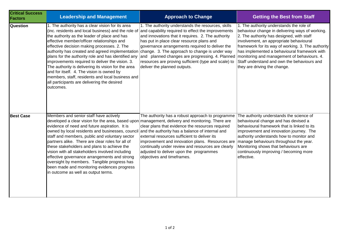| <b>Critical Success</b><br><b>Factors</b> | <b>Leadership and Management</b>                                                                                                                                                                                                                                                                                                                                                                                                                                                                                                                                                         | <b>Approach to Change</b>                                                                                                                                                                                                                                                                                                                                                                                                                                                                                                                               | <b>Getting the Best from Staff</b>                                                                                                                                                                                                                                                                                                                                       |
|-------------------------------------------|------------------------------------------------------------------------------------------------------------------------------------------------------------------------------------------------------------------------------------------------------------------------------------------------------------------------------------------------------------------------------------------------------------------------------------------------------------------------------------------------------------------------------------------------------------------------------------------|---------------------------------------------------------------------------------------------------------------------------------------------------------------------------------------------------------------------------------------------------------------------------------------------------------------------------------------------------------------------------------------------------------------------------------------------------------------------------------------------------------------------------------------------------------|--------------------------------------------------------------------------------------------------------------------------------------------------------------------------------------------------------------------------------------------------------------------------------------------------------------------------------------------------------------------------|
| Question                                  | 1. The authority has a clear vision for its area<br>(inc. residents and local business) and the role of<br>the authority as the leader of place and has<br>effective member/officer relationships and<br>effective decision making processes. 2. The<br>plans for the authority role and has identified any<br>improvements required to deliver the vision. 3.<br>The authority is delivering its vision for the area<br>and for itself. 4. The vision is owned by<br>members, staff, residents and local business and<br>all participants are delivering the desired<br>outcomes.       | 1. The authority understands the resources, skills<br>and capability required to effect the improvements<br>and innovations that it requires. 2. The authority<br>has put in place clear resource plans and<br>governance arrangements required to deliver the<br>authority has created and agreed implementation change. 3. The approach to change is under way<br>and planned changes are progressing. 4. Planned monitoring and management of behaviours. 4.<br>resources are proving sufficient (type and scale) to<br>deliver the planned outputs. | 1. The authority understands the role of<br>behaviour change in delivering ways of working.<br>2. The authority has designed, with staff<br>involvement, an appropriate behavioural<br>framework for its way of working. 3. The authority<br>has implemented a behavioural framework with<br>Staff understand and own the behaviours and<br>they are driving the change. |
| <b>Best Case</b>                          | Members and senior staff have actively<br>evidence of need and future aspiration. It is<br>owned by local residents and businesses, council and the authority has a balance of internal and<br>staff and members, public and voluntary sector<br>partners alike. There are clear roles for all of<br>these stakeholders and plans to achieve the<br>vision with all stakeholders involved including<br>effective governance arrangements and strong<br>oversight by members. Tangible progress has<br>been made and monitoring evidences progress<br>in outcome as well as output terms. | The authority has a robust approach to programme<br>developed a clear vision for the area, based upon management, delivery and monitoring. There are<br>clear plans that evidence the resources required<br>external resources sufficient to deliver its<br>improvement and innovation plans. Resources are   manage behaviours throughout the year.<br>continually under review and resources are clearly<br>adjusted to deliver upon the programmes<br>objectives and timeframes.                                                                     | The authority understands the science of<br>behavioural change and has devised a<br>behavioural framework that is linked to its<br>improvement and innovation journey. The<br>authority understands how to monitor and<br>Monitoring shows that behaviours are<br>continuously improving / becoming more<br>effective.                                                   |